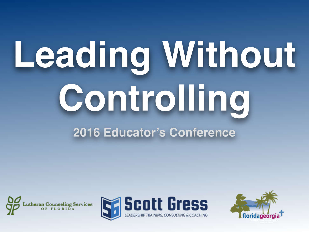# Leading Without **Controlling 2016 Educator's Conference**





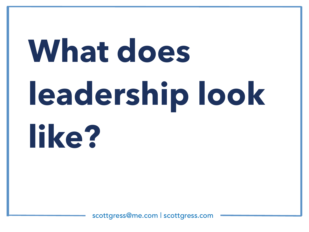# **What does leadership look like?**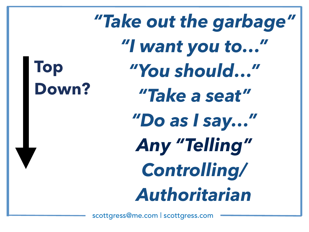**Top Down?** *"Take out the garbage" "I want you to…" "You should…" "Take a seat" "Do as I say…" Any "Telling" Controlling/ Authoritarian*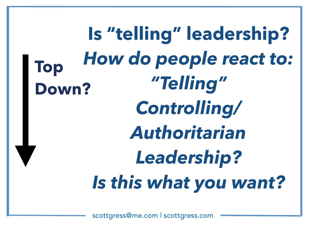**Top Down? Is "telling" leadership?**  *How do people react to: "Telling" Controlling/ Authoritarian Leadership? Is this what you want?*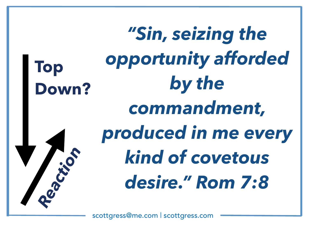**Top Down?** *"Sin, seizing the opportunity afforded by the commandment, produced in me every kind of covetous desire." Rom 7:8 Reaction*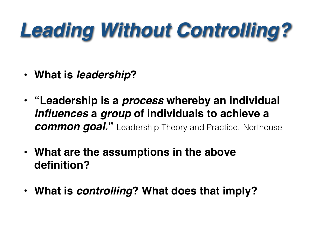### *Leading Without Controlling?*

- **• What is** *leadership***?**
- **• "Leadership is a** *process* **whereby an individual**  *influences* **a** *group* **of individuals to achieve a**  *common goal.* Leadership Theory and Practice, Northouse
- **• What are the assumptions in the above definition?**
- **• What is** *controlling***? What does that imply?**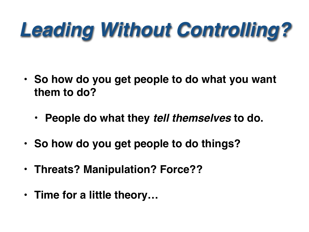### *Leading Without Controlling?*

- **• So how do you get people to do what you want them to do?**
	- **• People do what they** *tell themselves* **to do.**
- **• So how do you get people to do things?**
- **• Threats? Manipulation? Force??**
- **• Time for a little theory…**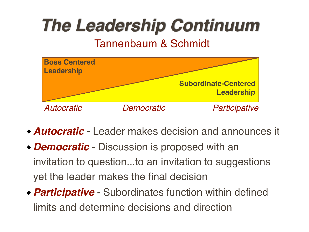### *The Leadership Continuum*

#### Tannenbaum & Schmidt



- *Autocratic* Leader makes decision and announces it
- *Democratic* Discussion is proposed with an invitation to question...to an invitation to suggestions yet the leader makes the final decision
- *Participative* Subordinates function within defined limits and determine decisions and direction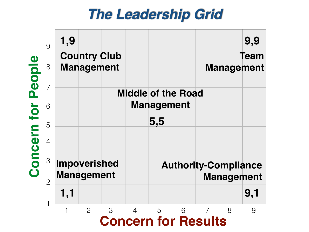#### *The Leadership Grid*

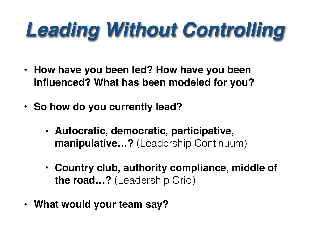### *Leading Without Controlling*

- **• How have you been led? How have you been influenced? What has been modeled for you?**
- **• So how do you currently lead?**
	- **• Autocratic, democratic, participative, manipulative…?** (Leadership Continuum)
	- **• Country club, authority compliance, middle of the road…?** (Leadership Grid)
- **• What would your team say?**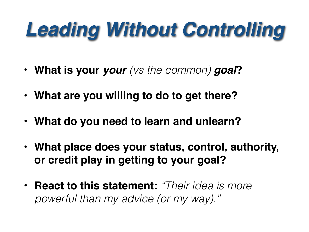### *Leading Without Controlling*

- **• What is your** *your (vs the common) goal***?**
- **• What are you willing to do to get there?**
- **• What do you need to learn and unlearn?**
- **• What place does your status, control, authority, or credit play in getting to your goal?**
- **• React to this statement:** *"Their idea is more powerful than my advice (or my way)."*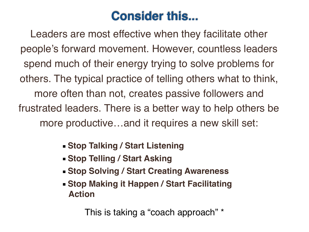#### **Consider this...**

Leaders are most effective when they facilitate other people's forward movement. However, countless leaders spend much of their energy trying to solve problems for others. The typical practice of telling others what to think, more often than not, creates passive followers and frustrated leaders. There is a better way to help others be more productive…and it requires a new skill set:

 **Stop Talking / Start Listening**

- **Example 3 Start Asking Stop Telling / Start Asking**
- **Stop Solving / Start Creating Awareness**
- **Stop Making it Happen / Start Facilitating Action**

This is taking a "coach approach" \*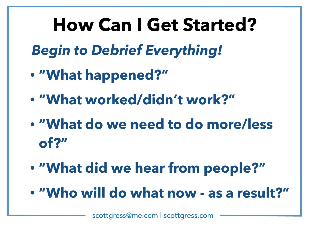### **How Can I Get Started?**

*Begin to Debrief Everything!* 

- **• "What happened?"**
- **• "What worked/didn't work?"**
- **• "What do we need to do more/less of?"**
- **• "What did we hear from people?"**
- **• "Who will do what now as a result?"**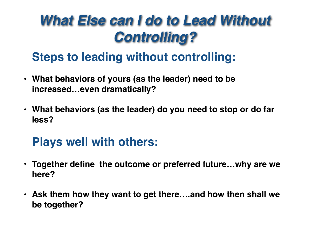#### *What Else can I do to Lead Without Controlling?*

#### **Steps to leading without controlling:**

- **• What behaviors of yours (as the leader) need to be increased…even dramatically?**
- **• What behaviors (as the leader) do you need to stop or do far less?**

#### **Plays well with others:**

- **• Together define the outcome or preferred future…why are we here?**
- **• Ask them how they want to get there….and how then shall we be together?**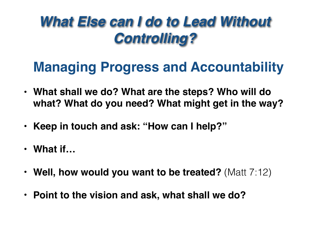#### *What Else can I do to Lead Without Controlling?*

#### **Managing Progress and Accountability**

- **• What shall we do? What are the steps? Who will do what? What do you need? What might get in the way?**
- **• Keep in touch and ask: "How can I help?"**
- **• What if…**
- **• Well, how would you want to be treated?** (Matt 7:12)
- **• Point to the vision and ask, what shall we do?**